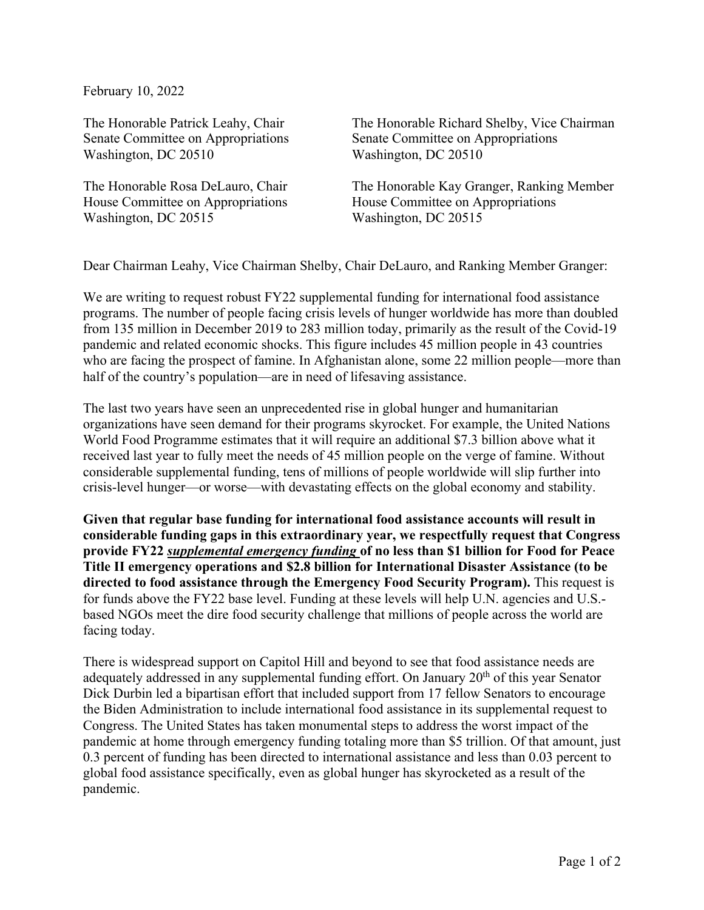February 10, 2022

The Honorable Patrick Leahy, Chair Senate Committee on Appropriations Washington, DC 20510

The Honorable Rosa DeLauro, Chair House Committee on Appropriations Washington, DC 20515

The Honorable Richard Shelby, Vice Chairman Senate Committee on Appropriations Washington, DC 20510

The Honorable Kay Granger, Ranking Member House Committee on Appropriations Washington, DC 20515

Dear Chairman Leahy, Vice Chairman Shelby, Chair DeLauro, and Ranking Member Granger:

We are writing to request robust FY22 supplemental funding for international food assistance programs. The number of people facing crisis levels of hunger worldwide has more than doubled from 135 million in December 2019 to 283 million today, primarily as the result of the Covid-19 pandemic and related economic shocks. This figure includes 45 million people in 43 countries who are facing the prospect of famine. In Afghanistan alone, some 22 million people—more than half of the country's population—are in need of lifesaving assistance.

The last two years have seen an unprecedented rise in global hunger and humanitarian organizations have seen demand for their programs skyrocket. For example, the United Nations World Food Programme estimates that it will require an additional \$7.3 billion above what it received last year to fully meet the needs of 45 million people on the verge of famine. Without considerable supplemental funding, tens of millions of people worldwide will slip further into crisis-level hunger—or worse—with devastating effects on the global economy and stability.

**Given that regular base funding for international food assistance accounts will result in considerable funding gaps in this extraordinary year, we respectfully request that Congress provide FY22** *supplemental emergency funding* **of no less than \$1 billion for Food for Peace Title II emergency operations and \$2.8 billion for International Disaster Assistance (to be directed to food assistance through the Emergency Food Security Program).** This request is for funds above the FY22 base level. Funding at these levels will help U.N. agencies and U.S. based NGOs meet the dire food security challenge that millions of people across the world are facing today.

There is widespread support on Capitol Hill and beyond to see that food assistance needs are adequately addressed in any supplemental funding effort. On January 20<sup>th</sup> of this year Senator Dick Durbin led a bipartisan effort that included support from 17 fellow Senators to encourage the Biden Administration to include international food assistance in its supplemental request to Congress. The United States has taken monumental steps to address the worst impact of the pandemic at home through emergency funding totaling more than \$5 trillion. Of that amount, just 0.3 percent of funding has been directed to international assistance and less than 0.03 percent to global food assistance specifically, even as global hunger has skyrocketed as a result of the pandemic.